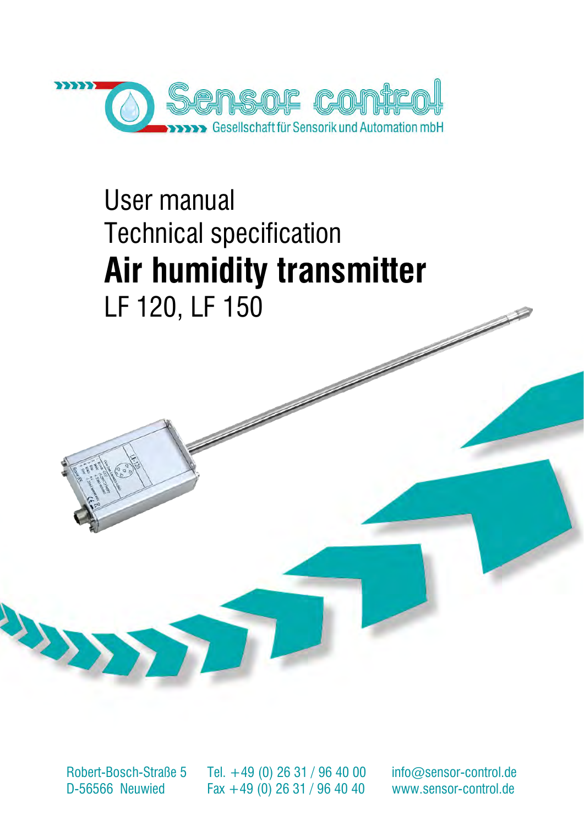

# User manual Technical specification **Air humidity transmitter** LF 120, LF 150

Robert-Bosch-Straße 5 D-56566 Neuwied

Tel. +49 (0) 26 31 / 96 40 00 Fax +49 (0) 26 31 / 96 40 40

[info@sensor-control.de](mailto:info@sensor-control.de) [www.sensor-control.de](http://www.sensor-control.de/)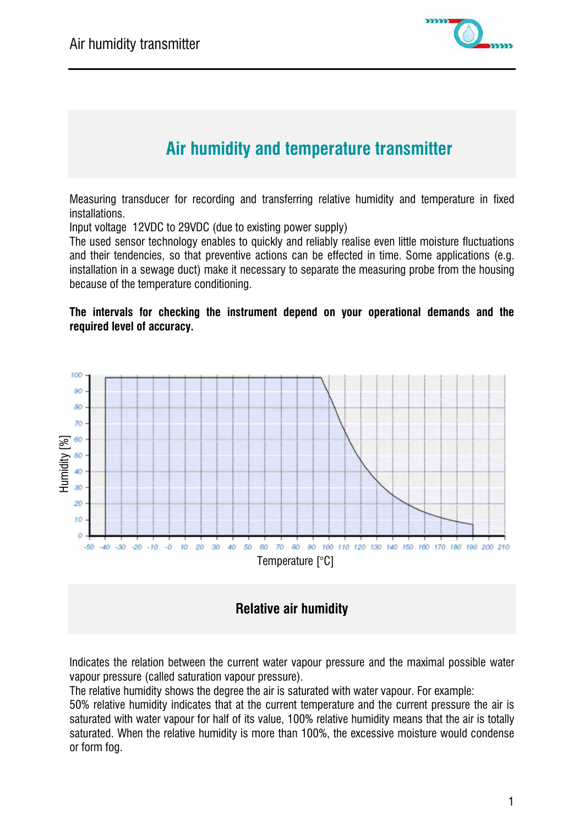

# **Air humidity and temperature transmitter**

Measuring transducer for recording and transferring relative humidity and temperature in fixed installations.

Input voltage 12VDC to 29VDC (due to existing power supply)

The used sensor technology enables to quickly and reliably realise even little moisture fluctuations and their tendencies, so that preventive actions can be effected in time. Some applications (e.g. installation in a sewage duct) make it necessary to separate the measuring probe from the housing because of the temperature conditioning.

#### **The intervals for checking the instrument depend on your operational demands and the required level of accuracy.**





Indicates the relation between the current water vapour pressure and the maximal possible water vapour pressure (called saturation vapour pressure).

The relative humidity shows the degree the air is saturated with water vapour. For example:

50% relative humidity indicates that at the current temperature and the current pressure the air is saturated with water vapour for half of its value, 100% relative humidity means that the air is totally saturated. When the relative humidity is more than 100%, the excessive moisture would condense or form fog.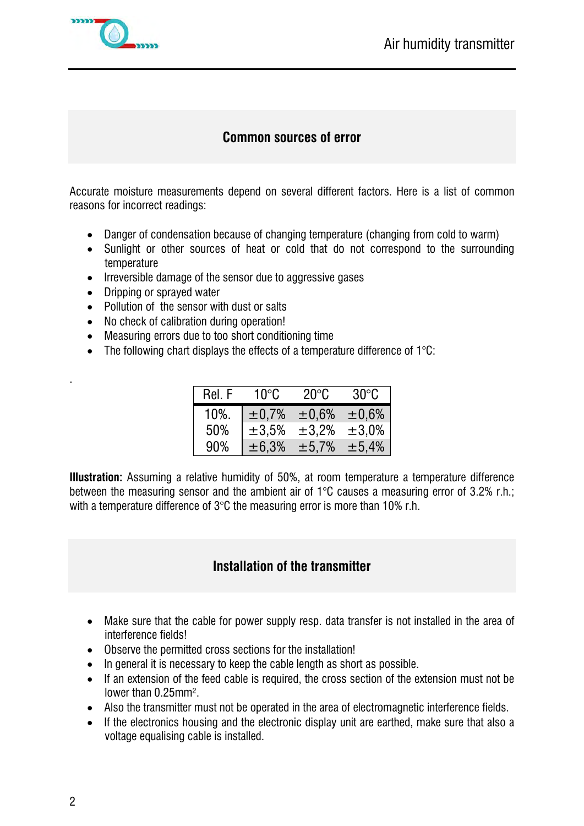

## **Common sources of error**

Accurate moisture measurements depend on several different factors. Here is a list of common reasons for incorrect readings:

- Danger of condensation because of changing temperature (changing from cold to warm)
- Sunlight or other sources of heat or cold that do not correspond to the surrounding temperature
- Irreversible damage of the sensor due to aggressive gases
- Dripping or sprayed water
- Pollution of the sensor with dust or salts
- No check of calibration during operation!
- Measuring errors due to too short conditioning time
- The following chart displays the effects of a temperature difference of  $1^{\circ}$ C:

| Rel. F | $10^{\circ}$ C | $20^{\circ}$ C | $30^{\circ}$ C |
|--------|----------------|----------------|----------------|
| 10%.   | ±0.7%          | $\pm 0.6\%$    | $\pm 0.6\%$    |
| 50%    | ±3,5%          | ±3.2%          | $\pm 3.0\%$    |
| 90%    | ± 6,3%         | ±5,7%          | ±5,4%          |

**Illustration:** Assuming a relative humidity of 50%, at room temperature a temperature difference between the measuring sensor and the ambient air of 1°C causes a measuring error of 3.2% r.h.; with a temperature difference of 3°C the measuring error is more than 10% r.h.

## **Installation of the transmitter**

- Make sure that the cable for power supply resp. data transfer is not installed in the area of interference fields!
- Observe the permitted cross sections for the installation!
- In general it is necessary to keep the cable length as short as possible.
- If an extension of the feed cable is required, the cross section of the extension must not be lower than 0.25mm².
- Also the transmitter must not be operated in the area of electromagnetic interference fields.
- If the electronics housing and the electronic display unit are earthed, make sure that also a voltage equalising cable is installed.

.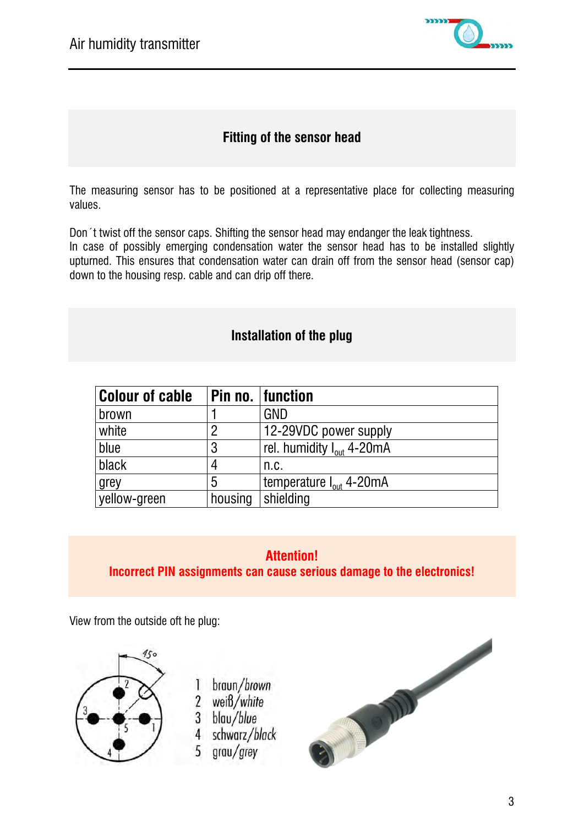

## **Fitting of the sensor head**

The measuring sensor has to be positioned at a representative place for collecting measuring values.

Don´t twist off the sensor caps. Shifting the sensor head may endanger the leak tightness. In case of possibly emerging condensation water the sensor head has to be installed slightly upturned. This ensures that condensation water can drain off from the sensor head (sensor cap) down to the housing resp. cable and can drip off there.

#### **Installation of the plug**

| <b>Colour of cable</b> |         | Pin no.  function                     |
|------------------------|---------|---------------------------------------|
| brown                  |         | <b>GND</b>                            |
| white                  | 2       | 12-29VDC power supply                 |
| blue                   | 3       | rel. humidity I <sub>out</sub> 4-20mA |
| black                  |         | n.c.                                  |
| grey                   | 5       | temperature I <sub>out</sub> 4-20mA   |
| yellow-green           | housing | shielding                             |

# **[Attention!](http://www.dict.cc/englisch-deutsch/Attention.html) Incorrect PIN assignments can cause serious damage to the electronics!**

View from the outside oft he plug:



- braun/brown L
- 2 weiß/white
- 3 blau/blue
- 4 schwarz/black
- grau/grey 5

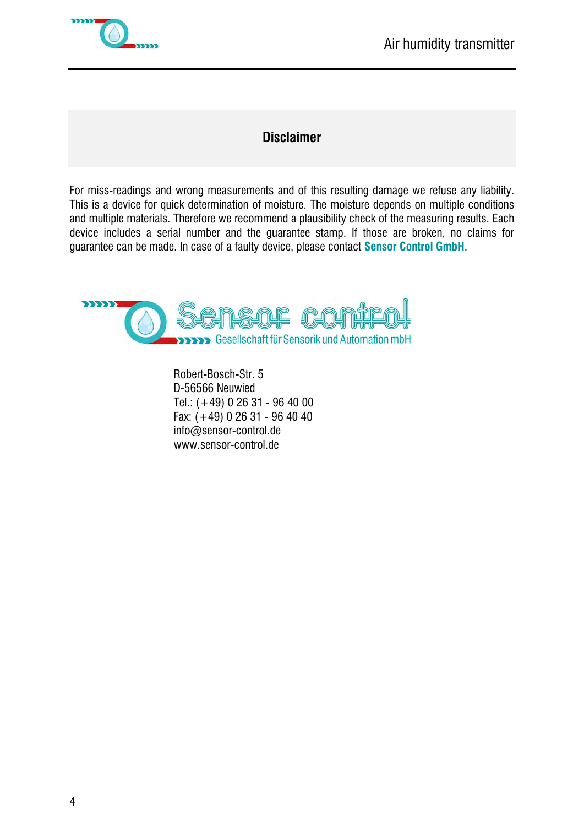

# **Disclaimer**

For miss-readings and wrong measurements and of this resulting damage we refuse any liability. This is a device for quick determination of moisture. The moisture depends on multiple conditions and multiple materials. Therefore we recommend a plausibility check of the measuring results. Each device includes a serial number and the guarantee stamp. If those are broken, no claims for guarantee can be made. In case of a faulty device, please contact **Sensor Control GmbH**.



Robert-Bosch-Str. 5 D-56566 Neuwied Tel.: (+49) 0 26 31 - 96 40 00 Fax: (+49) 0 26 31 - 96 40 40 info@sensor-control.de www.sensor-control.de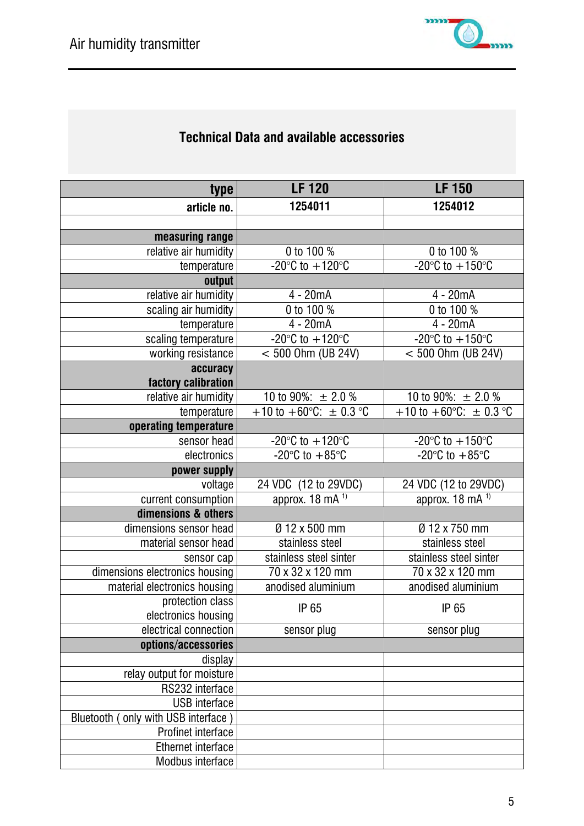# **Technical Data and available accessories**

| type                                    | <b>LF120</b>                                    | <b>LF 150</b>                               |
|-----------------------------------------|-------------------------------------------------|---------------------------------------------|
| article no.                             | 1254011                                         | 1254012                                     |
|                                         |                                                 |                                             |
| measuring range                         |                                                 |                                             |
| relative air humidity                   | 0 to 100 %                                      | 0 to 100 %                                  |
| temperature                             | $-20^{\circ}$ C to $+120^{\circ}$ C             | -20 $\degree$ C to +150 $\degree$ C         |
| output                                  |                                                 |                                             |
| relative air humidity                   | 4 - 20mA                                        | 4 - 20mA                                    |
| scaling air humidity                    | 0 to 100 %                                      | 0 to 100 %                                  |
| temperature                             | $4 - 20mA$                                      | $\overline{4}$ - 20mA                       |
| scaling temperature                     | -20 $^{\circ}$ C to +120 $^{\circ}$ C           | -20 $^{\circ}$ C to +150 $^{\circ}$ C       |
| working resistance                      | $< 500$ Ohm (UB 24V)                            | $< 500$ Ohm (UB 24V)                        |
| accuracy                                |                                                 |                                             |
| factory calibration                     |                                                 |                                             |
| relative air humidity                   | 10 to 90%: $\pm$ 2.0 %                          | 10 to 90%: $\pm$ 2.0 %                      |
| temperature                             | +10 to +60 $^{\circ}$ C: $\pm$ 0.3 $^{\circ}$ C | +10 to +60 $^{\circ}$ C: ± 0.3 $^{\circ}$ C |
| operating temperature                   |                                                 |                                             |
| sensor head                             | -20 $\degree$ C to +120 $\degree$ C             | -20 $\degree$ C to +150 $\degree$ C         |
| electronics                             | -20 $\degree$ C to +85 $\degree$ C              | -20 $\degree$ C to +85 $\degree$ C          |
| power supply                            |                                                 |                                             |
| voltage                                 | 24 VDC (12 to 29VDC)                            | 24 VDC (12 to 29VDC)                        |
| current consumption                     | approx. $\overline{18 \text{ mA}^{1}}$          | approx. $18 \text{ mA}^{1}$                 |
| dimensions & others                     |                                                 |                                             |
| dimensions sensor head                  | Ø 12 x 500 mm                                   | Ø 12 x 750 mm                               |
| material sensor head                    | stainless steel                                 | stainless steel                             |
| sensor cap                              | stainless steel sinter                          | stainless steel sinter                      |
| dimensions electronics housing          | 70 x 32 x 120 mm                                | 70 x 32 x 120 mm                            |
| material electronics housing            | anodised aluminium                              | anodised aluminium                          |
| protection class<br>electronics housing | IP 65                                           | IP 65                                       |
| electrical connection                   | sensor plug                                     | sensor plug                                 |
| options/accessories                     |                                                 |                                             |
| display                                 |                                                 |                                             |
| relay output for moisture               |                                                 |                                             |
| RS232 interface                         |                                                 |                                             |
| <b>USB</b> interface                    |                                                 |                                             |
| Bluetooth (only with USB interface)     |                                                 |                                             |
| <b>Profinet interface</b>               |                                                 |                                             |
| <b>Ethernet interface</b>               |                                                 |                                             |
| Modbus interface                        |                                                 |                                             |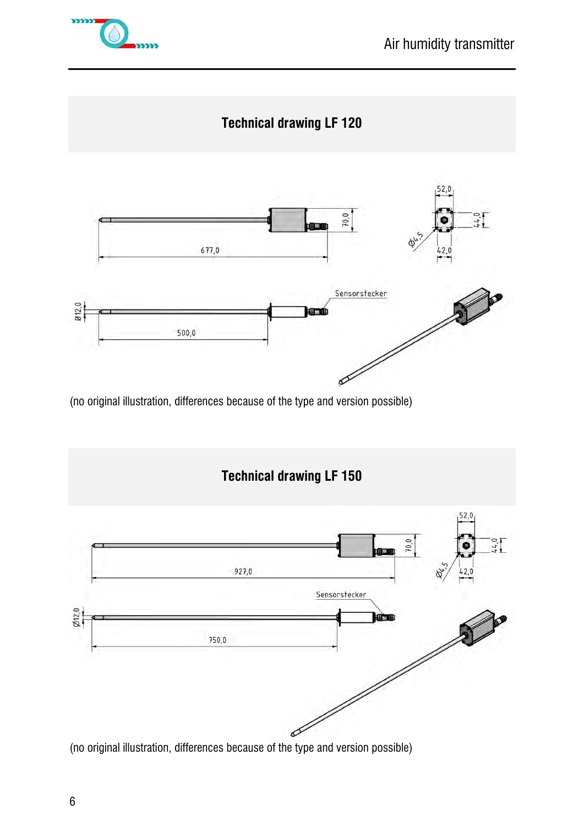



(no original illustration, differences because of the type and version possible)



(no original illustration, differences because of the type and version possible)